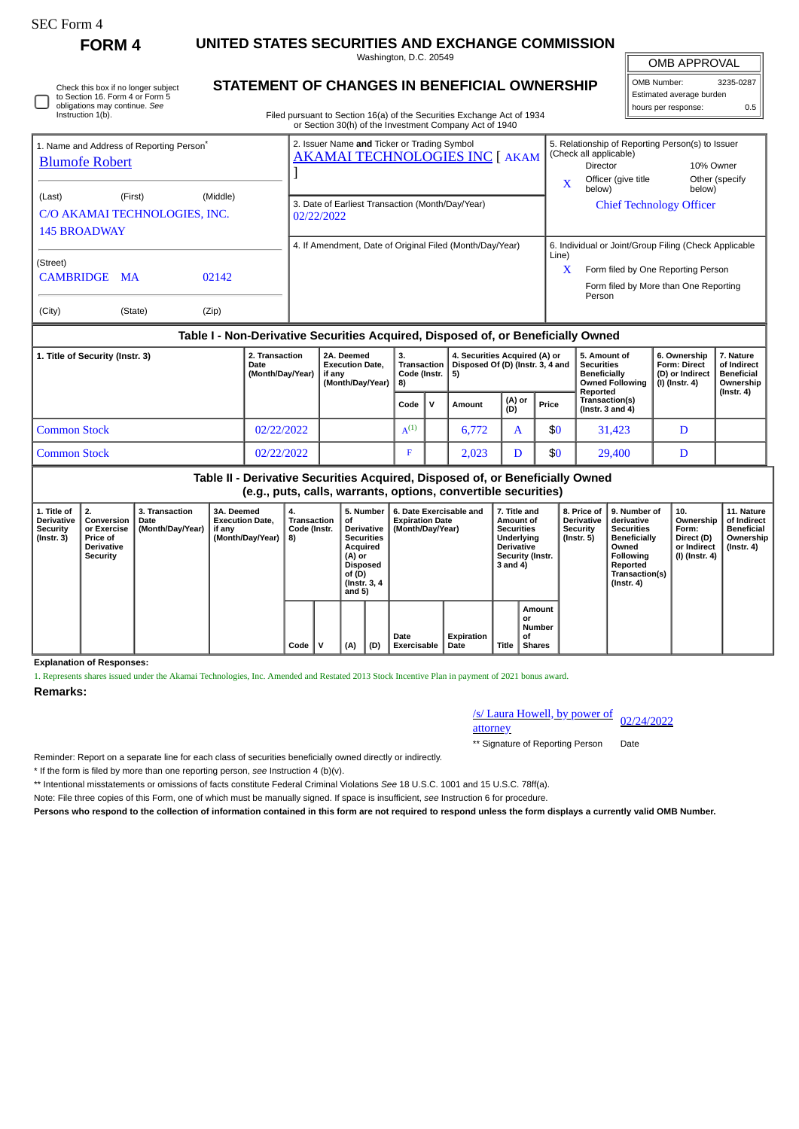Check this box if no longer subject to Section 16. Form 4 or Form 5 obligations may continue. *See*

**FORM 4 UNITED STATES SECURITIES AND EXCHANGE COMMISSION** Washington, D.C. 20549

**STATEMENT OF CHANGES IN BENEFICIAL OWNERSHIP**

OMB APPROVAL

| OMB Number:              | 3235-0287 |  |  |  |  |  |  |
|--------------------------|-----------|--|--|--|--|--|--|
| Estimated average burden |           |  |  |  |  |  |  |
| hours per response:      | 0.5       |  |  |  |  |  |  |

| Instruction 1(b).                                                                     |           |       | Filed pursuant to Section 16(a) of the Securities Exchange Act of 1934<br>or Section 30(h) of the Investment Company Act of 1940 |       |                                                                     |                                                                                           |  |  |
|---------------------------------------------------------------------------------------|-----------|-------|----------------------------------------------------------------------------------------------------------------------------------|-------|---------------------------------------------------------------------|-------------------------------------------------------------------------------------------|--|--|
| 1. Name and Address of Reporting Person <sup>®</sup><br><b>Blumofe Robert</b>         |           |       | 2. Issuer Name and Ticker or Trading Symbol<br><b>AKAMAI TECHNOLOGIES INC [ AKAM</b>                                             | X     | (Check all applicable)<br>Director<br>Officer (give title<br>below) | 5. Relationship of Reporting Person(s) to Issuer<br>10% Owner<br>Other (specify<br>below) |  |  |
| (First)<br>(Middle)<br>(Last)<br>C/O AKAMAI TECHNOLOGIES, INC.<br><b>145 BROADWAY</b> |           |       | 3. Date of Earliest Transaction (Month/Day/Year)<br>02/22/2022                                                                   |       | <b>Chief Technology Officer</b>                                     |                                                                                           |  |  |
| (Street)                                                                              |           |       | 4. If Amendment, Date of Original Filed (Month/Day/Year)                                                                         | Line) | 6. Individual or Joint/Group Filing (Check Applicable               |                                                                                           |  |  |
| <b>CAMBRIDGE</b>                                                                      | <b>MA</b> | 02142 |                                                                                                                                  | X     | Person                                                              | Form filed by One Reporting Person<br>Form filed by More than One Reporting               |  |  |
| (City)                                                                                | (State)   | (Zip) |                                                                                                                                  |       |                                                                     |                                                                                           |  |  |

## **Table I - Non-Derivative Securities Acquired, Disposed of, or Beneficially Owned**

| 1. Title of Security (Instr. 3) | 2. Transaction<br>Date<br>(Month/Day/Year) | 2A. Deemed<br><b>Execution Date,</b><br>if anv<br>(Month/Dav/Year) | <b>Transaction</b><br>Code (Instr. $  5$ ) |  | 4. Securities Acquired (A) or<br>Disposed Of (D) (Instr. 3, 4 and |               |       | 5. Amount of<br>Securities<br>Beneficially<br><b>Owned Following</b><br>Reported | 6. Ownership<br><b>Form: Direct</b><br>(D) or Indirect<br>(I) (Instr. 4) | 7. Nature<br>of Indirect<br><b>Beneficial</b><br>Ownership |
|---------------------------------|--------------------------------------------|--------------------------------------------------------------------|--------------------------------------------|--|-------------------------------------------------------------------|---------------|-------|----------------------------------------------------------------------------------|--------------------------------------------------------------------------|------------------------------------------------------------|
|                                 |                                            |                                                                    | Code   V                                   |  | Amount                                                            | (A) or<br>(D) | Price | Transaction(s)<br>(Instr. $3$ and $4$ )                                          |                                                                          | $($ Instr. 4 $)$                                           |
| <b>Common Stock</b>             | 02/22/2022                                 |                                                                    | $A^{(1)}$                                  |  | 6,772                                                             |               | \$0   | 31.423                                                                           |                                                                          |                                                            |
| <b>Common Stock</b>             | 02/22/2022                                 |                                                                    |                                            |  | 2.023                                                             |               | \$0   | 29,400                                                                           |                                                                          |                                                            |

**Table II - Derivative Securities Acquired, Disposed of, or Beneficially Owned (e.g., puts, calls, warrants, options, convertible securities)**

| 1. Title of<br><b>Derivative</b><br>Security<br>$($ Instr. 3 $)$ | $\perp$ 2.<br>Conversion<br>or Exercise<br><b>Price of</b><br><b>Derivative</b><br>Security | 3. Transaction<br>Date<br>(Month/Day/Year) | 3A. Deemed<br><b>Execution Date.</b><br>if any<br>(Month/Day/Year) | 4.<br>Transaction<br>Code (Instr.<br>8) |   | 5. Number<br>οf<br><b>Derivative</b><br><b>Securities</b><br>Acquired<br>(A) or<br>Disposed<br>of (D)<br>(Instr. 3, 4)<br>and $5)$ |     | 6. Date Exercisable and<br><b>Expiration Date</b><br>(Month/Day/Year) |                    | 7. Title and<br>Amount of<br><b>Securities</b><br>Underlying<br><b>Derivative</b><br>Security (Instr.<br>3 and 4) |                                                      | 8. Price of<br><b>Derivative</b><br>Security<br>(Instr. 5) | 9. Number of<br>derivative<br><b>Securities</b><br><b>Beneficially</b><br>Owned<br>Following<br>Reported<br>Transaction(s)<br>$($ Instr. 4 $)$ | 10.<br>Ownership<br>Form:<br>Direct (D)<br>or Indirect<br>(I) (Instr. 4) | 11. Nature<br>of Indirect<br>Beneficial<br>Ownership<br>$($ lnstr. 4 $)$ |
|------------------------------------------------------------------|---------------------------------------------------------------------------------------------|--------------------------------------------|--------------------------------------------------------------------|-----------------------------------------|---|------------------------------------------------------------------------------------------------------------------------------------|-----|-----------------------------------------------------------------------|--------------------|-------------------------------------------------------------------------------------------------------------------|------------------------------------------------------|------------------------------------------------------------|------------------------------------------------------------------------------------------------------------------------------------------------|--------------------------------------------------------------------------|--------------------------------------------------------------------------|
|                                                                  |                                                                                             |                                            |                                                                    | Code                                    | v | (A)                                                                                                                                | (D) | Date<br><b>Exercisable</b>                                            | Expiration<br>Date | Title                                                                                                             | Amount<br>or<br><b>Number</b><br>οf<br><b>Shares</b> |                                                            |                                                                                                                                                |                                                                          |                                                                          |

**Explanation of Responses:**

1. Represents shares issued under the Akamai Technologies, Inc. Amended and Restated 2013 Stock Incentive Plan in payment of 2021 bonus award.

**Remarks:**

/s/ Laura Howell, by power of 02/24/2022

attorney

\*\* Signature of Reporting Person Date

Reminder: Report on a separate line for each class of securities beneficially owned directly or indirectly.

\* If the form is filed by more than one reporting person, *see* Instruction 4 (b)(v).

\*\* Intentional misstatements or omissions of facts constitute Federal Criminal Violations *See* 18 U.S.C. 1001 and 15 U.S.C. 78ff(a).

Note: File three copies of this Form, one of which must be manually signed. If space is insufficient, *see* Instruction 6 for procedure.

**Persons who respond to the collection of information contained in this form are not required to respond unless the form displays a currently valid OMB Number.**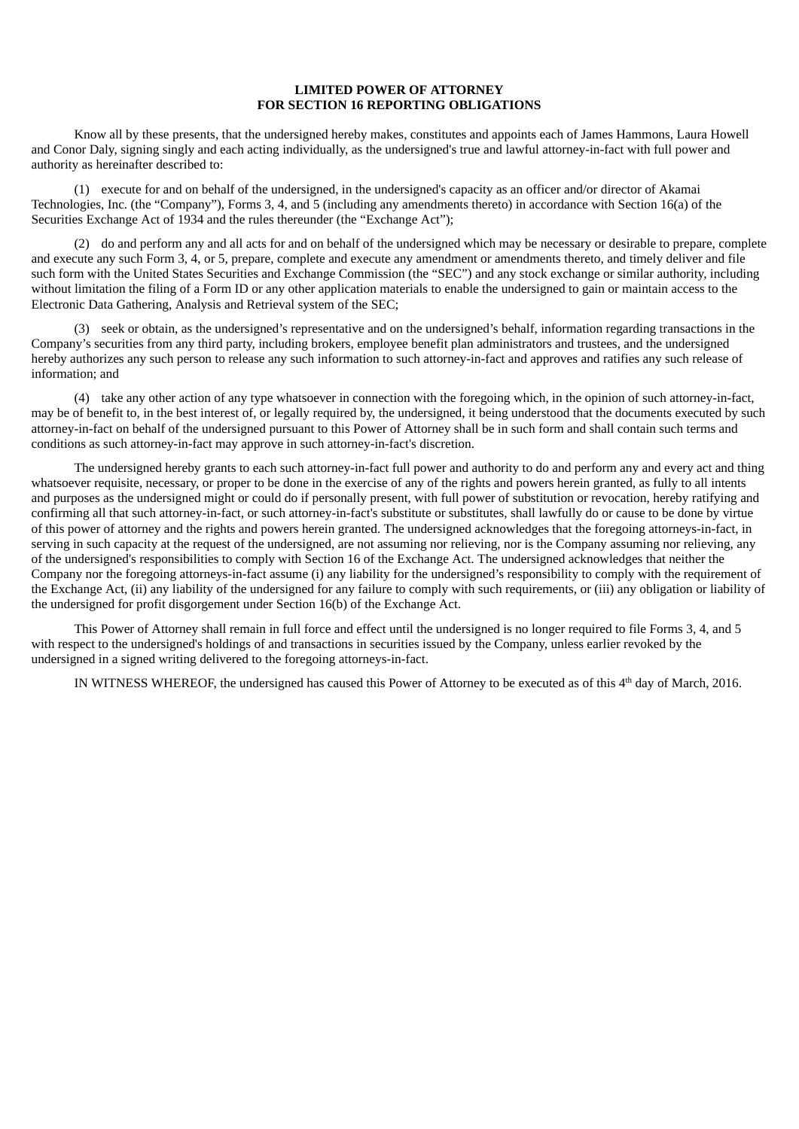## **LIMITED POWER OF ATTORNEY FOR SECTION 16 REPORTING OBLIGATIONS**

Know all by these presents, that the undersigned hereby makes, constitutes and appoints each of James Hammons, Laura Howell and Conor Daly, signing singly and each acting individually, as the undersigned's true and lawful attorney-in-fact with full power and authority as hereinafter described to:

(1) execute for and on behalf of the undersigned, in the undersigned's capacity as an officer and/or director of Akamai Technologies, Inc. (the "Company"), Forms 3, 4, and 5 (including any amendments thereto) in accordance with Section 16(a) of the Securities Exchange Act of 1934 and the rules thereunder (the "Exchange Act");

(2) do and perform any and all acts for and on behalf of the undersigned which may be necessary or desirable to prepare, complete and execute any such Form 3, 4, or 5, prepare, complete and execute any amendment or amendments thereto, and timely deliver and file such form with the United States Securities and Exchange Commission (the "SEC") and any stock exchange or similar authority, including without limitation the filing of a Form ID or any other application materials to enable the undersigned to gain or maintain access to the Electronic Data Gathering, Analysis and Retrieval system of the SEC;

(3) seek or obtain, as the undersigned's representative and on the undersigned's behalf, information regarding transactions in the Company's securities from any third party, including brokers, employee benefit plan administrators and trustees, and the undersigned hereby authorizes any such person to release any such information to such attorney-in-fact and approves and ratifies any such release of information; and

(4) take any other action of any type whatsoever in connection with the foregoing which, in the opinion of such attorney-in-fact, may be of benefit to, in the best interest of, or legally required by, the undersigned, it being understood that the documents executed by such attorney‑in‑fact on behalf of the undersigned pursuant to this Power of Attorney shall be in such form and shall contain such terms and conditions as such attorney‑in‑fact may approve in such attorney‑in‑fact's discretion.

The undersigned hereby grants to each such attorney-in-fact full power and authority to do and perform any and every act and thing whatsoever requisite, necessary, or proper to be done in the exercise of any of the rights and powers herein granted, as fully to all intents and purposes as the undersigned might or could do if personally present, with full power of substitution or revocation, hereby ratifying and confirming all that such attorney-in-fact, or such attorney-in-fact's substitute or substitutes, shall lawfully do or cause to be done by virtue of this power of attorney and the rights and powers herein granted. The undersigned acknowledges that the foregoing attorneys‑in‑fact, in serving in such capacity at the request of the undersigned, are not assuming nor relieving, nor is the Company assuming nor relieving, any of the undersigned's responsibilities to comply with Section 16 of the Exchange Act. The undersigned acknowledges that neither the Company nor the foregoing attorneys-in-fact assume (i) any liability for the undersigned's responsibility to comply with the requirement of the Exchange Act, (ii) any liability of the undersigned for any failure to comply with such requirements, or (iii) any obligation or liability of the undersigned for profit disgorgement under Section 16(b) of the Exchange Act.

This Power of Attorney shall remain in full force and effect until the undersigned is no longer required to file Forms 3, 4, and 5 with respect to the undersigned's holdings of and transactions in securities issued by the Company, unless earlier revoked by the undersigned in a signed writing delivered to the foregoing attorneys-in-fact.

IN WITNESS WHEREOF, the undersigned has caused this Power of Attorney to be executed as of this  $4<sup>th</sup>$  day of March, 2016.